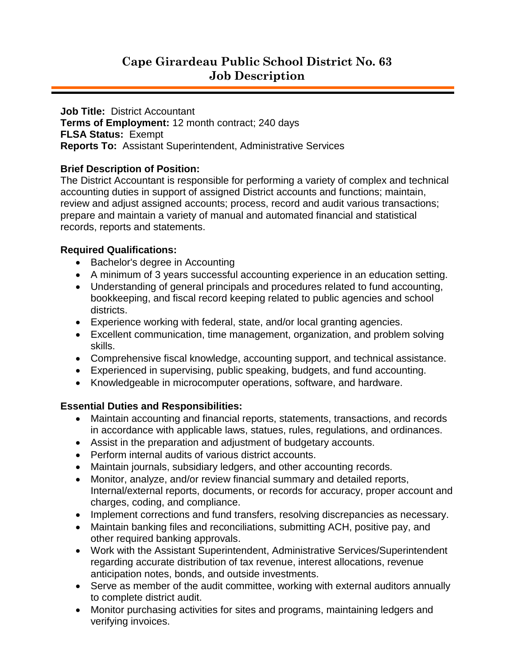**Job Title:** District Accountant **Terms of Employment:** 12 month contract; 240 days **FLSA Status:** Exempt **Reports To:** Assistant Superintendent, Administrative Services

## **Brief Description of Position:**

The District Accountant is responsible for performing a variety of complex and technical accounting duties in support of assigned District accounts and functions; maintain, review and adjust assigned accounts; process, record and audit various transactions; prepare and maintain a variety of manual and automated financial and statistical records, reports and statements.

## **Required Qualifications:**

- Bachelor's degree in Accounting
- A minimum of 3 years successful accounting experience in an education setting.
- Understanding of general principals and procedures related to fund accounting, bookkeeping, and fiscal record keeping related to public agencies and school districts.
- Experience working with federal, state, and/or local granting agencies.
- Excellent communication, time management, organization, and problem solving skills.
- Comprehensive fiscal knowledge, accounting support, and technical assistance.
- Experienced in supervising, public speaking, budgets, and fund accounting.
- Knowledgeable in microcomputer operations, software, and hardware.

## **Essential Duties and Responsibilities:**

- Maintain accounting and financial reports, statements, transactions, and records in accordance with applicable laws, statues, rules, regulations, and ordinances.
- Assist in the preparation and adjustment of budgetary accounts.
- Perform internal audits of various district accounts.
- Maintain journals, subsidiary ledgers, and other accounting records.
- Monitor, analyze, and/or review financial summary and detailed reports, Internal/external reports, documents, or records for accuracy, proper account and charges, coding, and compliance.
- Implement corrections and fund transfers, resolving discrepancies as necessary.
- Maintain banking files and reconciliations, submitting ACH, positive pay, and other required banking approvals.
- Work with the Assistant Superintendent, Administrative Services/Superintendent regarding accurate distribution of tax revenue, interest allocations, revenue anticipation notes, bonds, and outside investments.
- Serve as member of the audit committee, working with external auditors annually to complete district audit.
- Monitor purchasing activities for sites and programs, maintaining ledgers and verifying invoices.